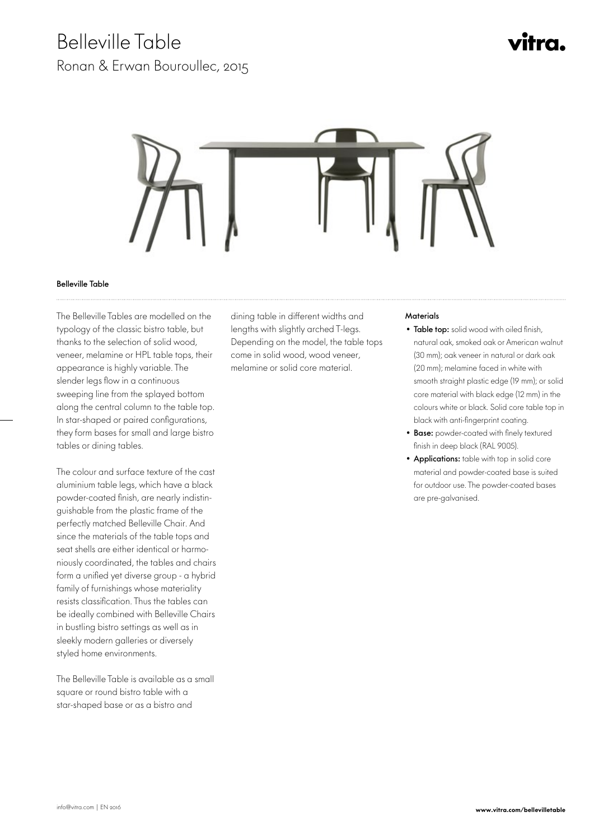### Belleville Table

Ronan & Erwan Bouroullec, 2015

# vitra.



#### Belleville Table

 The Belleville Tables are modelled on the typology of the classic bistro table, but thanks to the selection of solid wood, veneer, melamine or HPL table tops, their appearance is highly variable. The slender legs flow in a continuous sweeping line from the splayed bottom along the central column to the table top. In star-shaped or paired configurations, they form bases for small and large bistro tables or dining tables.

The colour and surface texture of the cast aluminium table legs, which have a black powder-coated finish, are nearly indistinguishable from the plastic frame of the perfectly matched Belleville Chair. And since the materials of the table tops and seat shells are either identical or harmoniously coordinated, the tables and chairs form a unified yet diverse group - a hybrid family of furnishings whose materiality resists classification. Thus the tables can be ideally combined with Belleville Chairs in bustling bistro settings as well as in sleekly modern galleries or diversely styled home environments.

The Belleville Table is available as a small square or round bistro table with a star-shaped base or as a bistro and

dining table in different widths and lengths with slightly arched T-legs. Depending on the model, the table tops come in solid wood, wood veneer, melamine or solid core material.

### **Materials**

- Table top: solid wood with oiled finish, natural oak, smoked oak or American walnut (30 mm); oak veneer in natural or dark oak (20 mm); melamine faced in white with smooth straight plastic edge (19 mm); or solid core material with black edge (12 mm) in the colours white or black. Solid core table top in black with anti-fingerprint coating.
- Base: powder-coated with finely textured finish in deep black (RAL 9005).
- Applications: table with top in solid core material and powder-coated base is suited for outdoor use. The powder-coated bases are pre-galvanised.